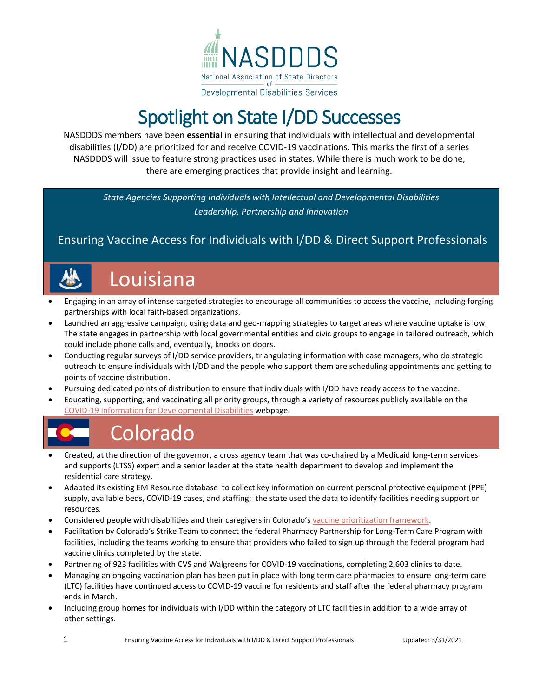

#### Spotlight on State I/DD Successes

NASDDDS members have been **essential** in ensuring that individuals with intellectual and developmental disabilities (I/DD) are prioritized for and receive COVID-19 vaccinations. This marks the first of a series NASDDDS will issue to feature strong practices used in states. While there is much work to be done, there are emerging practices that provide insight and learning.

*State Agencies Supporting Individuals with Intellectual and Developmental Disabilities Leadership, Partnership and Innovation*

Ensuring Vaccine Access for Individuals with I/DD & Direct Support Professionals



#### Louisiana

- Engaging in an array of intense targeted strategies to encourage all communities to access the vaccine, including forging partnerships with local faith-based organizations.
- Launched an aggressive campaign, using data and geo-mapping strategies to target areas where vaccine uptake is low. The state engages in partnership with local governmental entities and civic groups to engage in tailored outreach, which could include phone calls and, eventually, knocks on doors.
- Conducting regular surveys of I/DD service providers, triangulating information with case managers, who do strategic outreach to ensure individuals with I/DD and the people who support them are scheduling appointments and getting to points of vaccine distribution.
- Pursuing dedicated points of distribution to ensure that individuals with I/DD have ready access to the vaccine.
- Educating, supporting, and vaccinating all priority groups, through a variety of resources publicly available on the [COVID-19 Information for Developmental Disabilities](https://ldh.la.gov/index.cfm/page/3890) webpage.

### Colorado

- Created, at the direction of the governor, a cross agency team that was co-chaired by a Medicaid long-term services and supports (LTSS) expert and a senior leader at the state health department to develop and implement the residential care strategy.
- Adapted its existing EM Resource database to collect key information on current personal protective equipment (PPE) supply, available beds, COVID-19 cases, and staffing; the state used the data to identify facilities needing support or resources.
- Considered people with disabilities and their caregivers in Colorado'[s vaccine prioritization framework.](https://covid19.colorado.gov/for-coloradans/vaccine/find-out-when-youre-eligible-for-a-covid-19-vaccine)
- Facilitation by Colorado's Strike Team to connect the federal Pharmacy Partnership for Long-Term Care Program with facilities, including the teams working to ensure that providers who failed to sign up through the federal program had vaccine clinics completed by the state.
- Partnering of 923 facilities with CVS and Walgreens for COVID-19 vaccinations, completing 2,603 clinics to date.
- Managing an ongoing vaccination plan has been put in place with long term care pharmacies to ensure long-term care (LTC) facilities have continued access to COVID-19 vaccine for residents and staff after the federal pharmacy program ends in March.
- Including group homes for individuals with I/DD within the category of LTC facilities in addition to a wide array of other settings.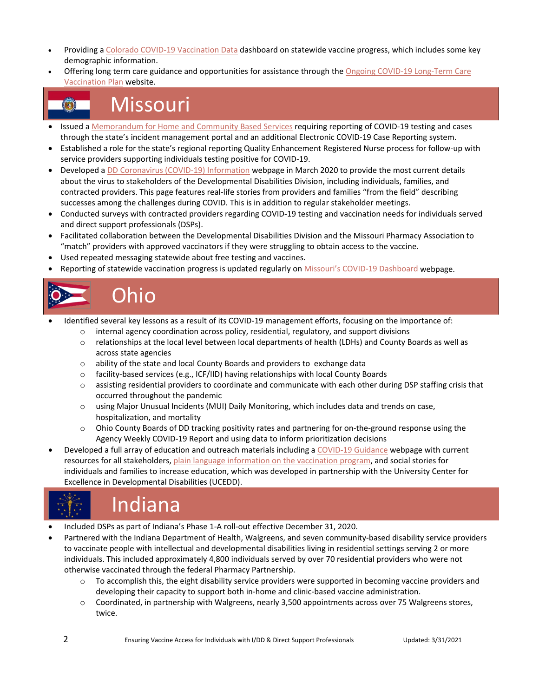- Providing [a Colorado COVID-19 Vaccination Data](https://covid19.colorado.gov/vaccine-data-dashboard) dashboard on statewide vaccine progress, which includes some key demographic information.
- Offering long term care guidance and opportunities for assistance through th[e Ongoing COVID-19 Long-Term Care](https://cdphe.colorado.gov/health-facility-covid-19-response/residential-care-strike-team/ongoing-covid-19-long-term-care)  [Vaccination Plan](https://cdphe.colorado.gov/health-facility-covid-19-response/residential-care-strike-team/ongoing-covid-19-long-term-care) website.

### **OH** Missouri

- Issued a [Memorandum for Home and Community Based Services](https://dmh.mo.gov/media/pdf/reporting-dd-service-participant-covid-19) requiring reporting of COVID-19 testing and cases through the state's incident management portal and an additional Electronic COVID-19 Case Reporting system.
- Established a role for the state's regional reporting Quality Enhancement Registered Nurse process for follow-up with service providers supporting individuals testing positive for COVID-19.
- Developed a [DD Coronavirus \(COVID-19\) Information](https://dmh.mo.gov/dev-disabilities/covid-19-information) webpage in March 2020 to provide the most current details about the virus to stakeholders of the Developmental Disabilities Division, including individuals, families, and contracted providers. This page features real-life stories from providers and families "from the field" describing successes among the challenges during COVID. This is in addition to regular stakeholder meetings.
- Conducted surveys with contracted providers regarding COVID-19 testing and vaccination needs for individuals served and direct support professionals (DSPs).
- Facilitated collaboration between the Developmental Disabilities Division and the Missouri Pharmacy Association to "match" providers with approved vaccinators if they were struggling to obtain access to the vaccine.
- Used repeated messaging statewide about free testing and vaccines.
- Reporting of statewide vaccination progress is updated regularly o[n Missouri's COVID-19 Dashboard](https://covidvaccine.mo.gov/data/) webpage.

# Ohio

- Identified several key lessons as a result of its COVID-19 management efforts, focusing on the importance of:
	- o internal agency coordination across policy, residential, regulatory, and support divisions
	- o relationships at the local level between local departments of health (LDHs) and County Boards as well as across state agencies
	- o ability of the state and local County Boards and providers to exchange data
	- $\circ$  facility-based services (e.g., ICF/IID) having relationships with local County Boards
	- o assisting residential providers to coordinate and communicate with each other during DSP staffing crisis that occurred throughout the pandemic
	- o using Major Unusual Incidents (MUI) Daily Monitoring, which includes data and trends on case, hospitalization, and mortality
	- o Ohio County Boards of DD tracking positivity rates and partnering for on-the-ground response using the Agency Weekly COVID-19 Report and using data to inform prioritization decisions
- Developed a full array of education and outreach materials including [a COVID-19 Guidance](https://dodd.ohio.gov/wps/portal/gov/dodd/about-us/covid_19_guidance) webpage with current resources for all stakeholders, [plain language information on the vaccination program,](https://dodd.ohio.gov/wps/portal/gov/dodd/about-us/covid_19_guidance/all-resources/vaccination) and social stories for individuals and families to increase education, which was developed in partnership with the University Center for Excellence in Developmental Disabilities (UCEDD).

## Indiana

- Included DSPs as part of Indiana's Phase 1-A roll-out effective December 31, 2020.
- Partnered with the Indiana Department of Health, Walgreens, and seven community-based disability service providers to vaccinate people with intellectual and developmental disabilities living in residential settings serving 2 or more individuals. This included approximately 4,800 individuals served by over 70 residential providers who were not otherwise vaccinated through the federal Pharmacy Partnership.
	- o To accomplish this, the eight disability service providers were supported in becoming vaccine providers and developing their capacity to support both in-home and clinic-based vaccine administration.
	- o Coordinated, in partnership with Walgreens, nearly 3,500 appointments across over 75 Walgreens stores, twice.